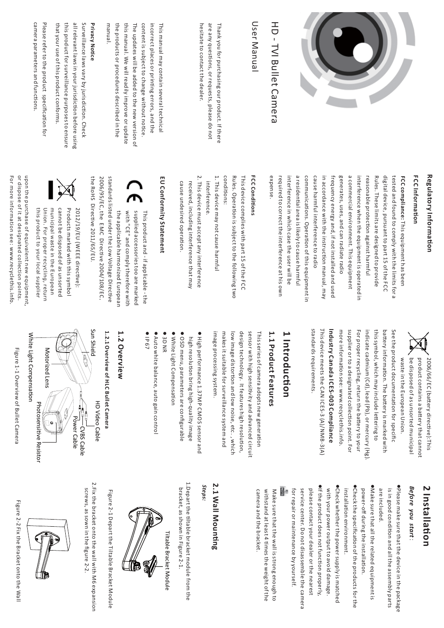

# HD - TVI Bullet Camera TVI Bullet Camera

## User Manual User Manual

hesitate to contact the dealer. hesitate to contact the dealer. are any questions, or requests, please do not are any quesThank you tor purchasing our product. It there Thank you for purchasing our product. If there ons, or requests, please do not

manual. this manual. We will readily improve or update content is subject to change without notice. incorrect places or printing errors, and the the products or procedures described in the the products or procedures described in the this manual. We will readily improve or update The updates will be added to the new version of The updates will be added to the new version of content is subject to change without noticeincorrect places or prinThis manual may contain several technical This manual may contain several technical g errors, and the

### **Privacy NoticPrivacy Notice**

all relevant laws in your jurisdiction before using this product for surveillance purposes to ensure that your use of this product conforms. that your use of this product conforms. this product for surveillance purposes to ensure all relevant laws in your jurisdSurveillance laws vary by jurisdiction before using n. Check

Please refer to the product specification for camera parameters and functionscamera parameters and functions.

## **Regulatory Information**

### **FCC Information**

a commercial environment. This equipment interference when the equipment is operated in Rules. These limits are designed to provide **FCC** compliance: This equipment has been expense. required to correct the interference at his own interference in which case the user will be cause harmful interference to radio in accordance with the instruction manual, may frequency energy and, if not installed and used generates, uses, and can radiate radio reasonable protection against harmful digital device, pursuant to part 15 of the FCC tested and found to comply with the limits for a tested and found to comply with the limits for a required to correct the interference at his own interference in which case the user will be a residencommunicacause harmful interference to radio in accordance with the instrucfrequency energy and, if not installed and used generates, uses, and can radiate radio a commercial environment. This equipment interference when the equipment is operated in reasonable protRules. These limits are designed to provide digital device, pursuant to part 15 of the **compliance:** tial area is likely to cause harmful tions. OperaThis equipment has been n against harmful tion of this equipment in on manual, may

## **FCC Conditions**

This device complies with part 15 of the This device complies with part 15 of the FCC Rules. OperaRules. Operation is subject to the following two on is subject to the following two conditions:

- 1. This device may not cause harmful 1. This device may not cause harmful interference. interference.
- 2. This device must accept any interference 2. This device must accept any interference received, including interference that may cause undesired operareceived, including interference that may tion.

## **EU** Conformity Statement **Conformity Statement**

2006/95/EC, the standards listed under the Low Voltage Direcsupplied accessories too are marked with "CE" and comply therefore with the applicable harmonized European the applicable harmonized European with "CE" and comply therefore with supplied accessories too are marked This product and - if applicable - the This product and - if applicable - the EMC Direa. ve 2004/108/ECtive ,



the RoHS

Directi

ve 2011/65/EU.

municipal waste in the European cannot be disposed of as unsorted Products marked with this symbol this product to your local supplier this product to your local supplier Union. For proper recycling, return Union. For proper recycling, return municipal waste in the European cannot be disposed of as unsorted Products marked with this symbol 2012/19/EU (WEEE directive):

For more information see: www.recyclethis.info For more information see: or dispose of it at designated collection points. or dispose of it at designated collection points. upon the purchase of equivalent new equipment, upon the purchase of equivalent new equipment, www.recyclethis.info.

> be disposed of as unsorted municipal product contains a battery that cannot waste in the European Union. waste in the European Union. be disposed of as unsorted municipal product contains a ba2006/66/EC (battery direery that cannot  $\Xi$ ve):This

standards requirements. Industry Canada ICES-003 Compliance standards requirements. . This device meets the **Industry Canada** more information see: www.recyclethis.info. supplier or to a designated collection point. For indicate cadmium (Cd), lead (Pb), or mercury (Hg). more informasupplier or to a designated cFor proper recycling, return the baindicate cadmium (Cd), lead (Pb), or mercury (Hg). this symbol, which may include lebattSee the product documentaery information. The battn see: www.recyclethis.info. **ICES-003 Compliance** CAN ICES-3 (A)/NMB-3(A) tioery is marked with n for specifittering to ttery to your n point. For  $\Omega$ 

### **1 Introduction**

## 1.1 Product Features **1.1 Product Features**

design technology. It features high resolution, image processing system image processing systemmakes it suitable for surveillance system and makes it suitable for surveillance system and low image distordesign technology sensor with high sensitivity and advanced circuit sensor with high sensitivitThis series of camera adopts new generad. on and low noise, etc . It features high resolution, It features high rey and advanced circuit , which . tion

- High performance 1.37MP CMOS sensor and high resolution bring high-quality image OSD menu, parameters are configurable
- White Light Compensation
- 3D  $\frac{2}{x}$
- Auto white balance, auto gain control  $\overline{\sigma}$ Auto white balance, auto gain control 67

## 1.2 Overview **1.2 Overview**

**1.2.1 Overview of** 1.2.1 Overview of HLC Bullet Camera **Bullet Camera**

풍 Video Cable



Figure 1-1 Overview of Bullet Camera Figure 1-1 Overview of Bullet Camera

### **2 Installation**

### *Before you start*:

 $\bullet$ Please make sure that the device in the package are included. are included. is in good cPlease make sure that the device in the package ondition and all the assembly parts

.Make sure that all the related equipment is power-oMake sure that all the related equipment is ff during the installation.

Check the specification of the products for the installation environment.

 $\bullet$  it the product does not function properly, ●Check whether the power supply is matched with your power output to avoid damage. please contact your dealer or the nearest for repair or maintenance by yourself. service center. Do not disassemble the camera for repair or maintenance by yourself. service center. Do not disassemble the camera please contact your dealer or the nearest If the product does not functiowith your power output to avoid damage. Check whether the power supply is matched

withstand at least 4 times the weight of the Make sure that the wall is strong enough to camera and the bracket. camera and the bracket. withstand at least 4 tiMake sure that the wall is strong enough to mes the weight of the

## **2.1 Wall Mounting**

*Steps:*

1. Depart the tiltable bracket module from the 1.Depart the tilbracket, as shown in Figure 2-1. bracket, as shown in Figure 2-1. table bracket module from the

Tiltable Bracket Module



Figure 2-1 Depart the Tiltable Bracket Module Figure 2-1 Depart the Tiltable Bracket Module

2.Fix the bracket onto the wall with M6 expansion

2.Fix the bracket onto the wall with M6 expansion

screws, as sown in the figscrews, as sown in the figure 2-2.



Figure 2-2 Fix the Bracket onto the Wall Figure 2-2 Fix the Bracket onto the Wall